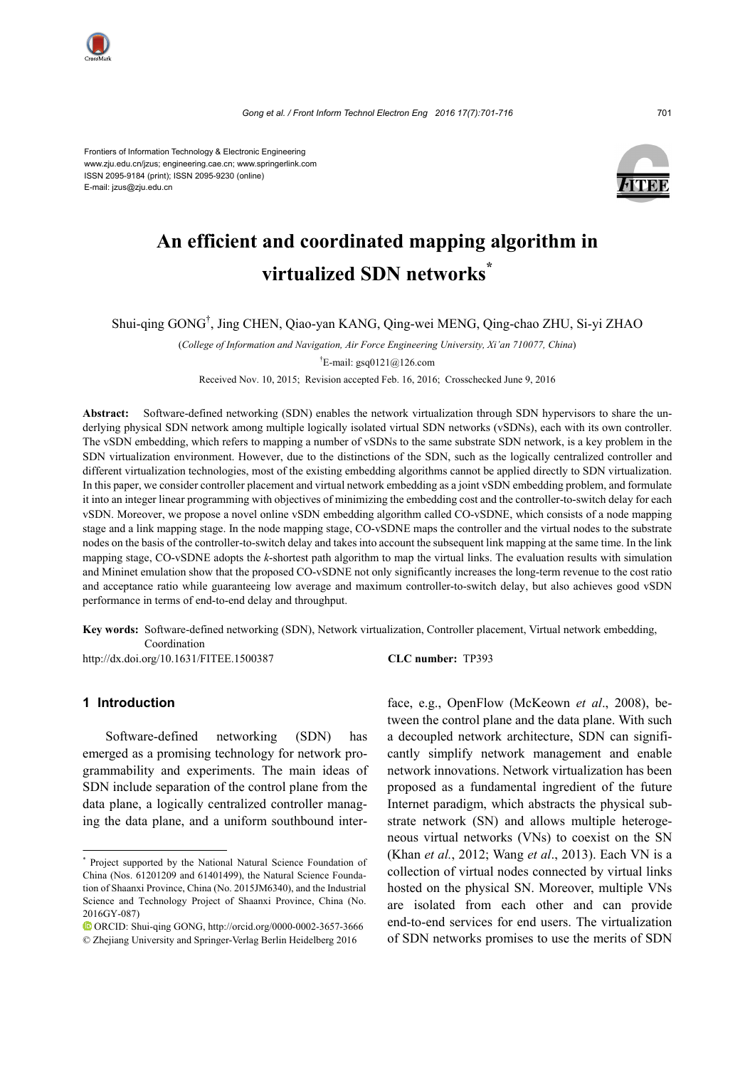

Frontiers of Information Technology & Electronic Engineering www.zju.edu.cn/jzus; engineering.cae.cn; www.springerlink.com ISSN 2095-9184 (print); ISSN 2095-9230 (online) E-mail: jzus@zju.edu.cn



# **An efficient and coordinated mapping algorithm in virtualized SDN networks\***

Shui-qing GONG† , Jing CHEN, Qiao-yan KANG, Qing-wei MENG, Qing-chao ZHU, Si-yi ZHAO

(*College of Information and Navigation, Air Force Engineering University, Xi'an 710077, China*)

<sup>†</sup>E-mail: gsq0121@126.com

Received Nov. 10, 2015; Revision accepted Feb. 16, 2016; Crosschecked June 9, 2016

**Abstract:** Software-defined networking (SDN) enables the network virtualization through SDN hypervisors to share the underlying physical SDN network among multiple logically isolated virtual SDN networks (vSDNs), each with its own controller. The vSDN embedding, which refers to mapping a number of vSDNs to the same substrate SDN network, is a key problem in the SDN virtualization environment. However, due to the distinctions of the SDN, such as the logically centralized controller and different virtualization technologies, most of the existing embedding algorithms cannot be applied directly to SDN virtualization. In this paper, we consider controller placement and virtual network embedding as a joint vSDN embedding problem, and formulate it into an integer linear programming with objectives of minimizing the embedding cost and the controller-to-switch delay for each vSDN. Moreover, we propose a novel online vSDN embedding algorithm called CO-vSDNE, which consists of a node mapping stage and a link mapping stage. In the node mapping stage, CO-vSDNE maps the controller and the virtual nodes to the substrate nodes on the basis of the controller-to-switch delay and takes into account the subsequent link mapping at the same time. In the link mapping stage, CO-vSDNE adopts the *k*-shortest path algorithm to map the virtual links. The evaluation results with simulation and Mininet emulation show that the proposed CO-vSDNE not only significantly increases the long-term revenue to the cost ratio and acceptance ratio while guaranteeing low average and maximum controller-to-switch delay, but also achieves good vSDN performance in terms of end-to-end delay and throughput.

**Key words:** Software-defined networking (SDN), Network virtualization, Controller placement, Virtual network embedding, Coordination

http://dx.doi.org/10.1631/FITEE.1500387 **CLC number:** TP393

# **1 Introduction**

Software-defined networking (SDN) has emerged as a promising technology for network programmability and experiments. The main ideas of SDN include separation of the control plane from the data plane, a logically centralized controller managing the data plane, and a uniform southbound interface, e.g., OpenFlow (McKeown *et al*., 2008), between the control plane and the data plane. With such a decoupled network architecture, SDN can significantly simplify network management and enable network innovations. Network virtualization has been proposed as a fundamental ingredient of the future Internet paradigm, which abstracts the physical substrate network (SN) and allows multiple heterogeneous virtual networks (VNs) to coexist on the SN (Khan *et al.*, 2012; Wang *et al*., 2013). Each VN is a collection of virtual nodes connected by virtual links hosted on the physical SN. Moreover, multiple VNs are isolated from each other and can provide end-to-end services for end users. The virtualization of SDN networks promises to use the merits of SDN

<sup>\*</sup> Project supported by the National Natural Science Foundation of China (Nos. 61201209 and 61401499), the Natural Science Foundation of Shaanxi Province, China (No. 2015JM6340), and the Industrial Science and Technology Project of Shaanxi Province, China (No. 2016GY-087)

ORCID: Shui-qing GONG, http://orcid.org/0000-0002-3657-3666 © Zhejiang University and Springer-Verlag Berlin Heidelberg 2016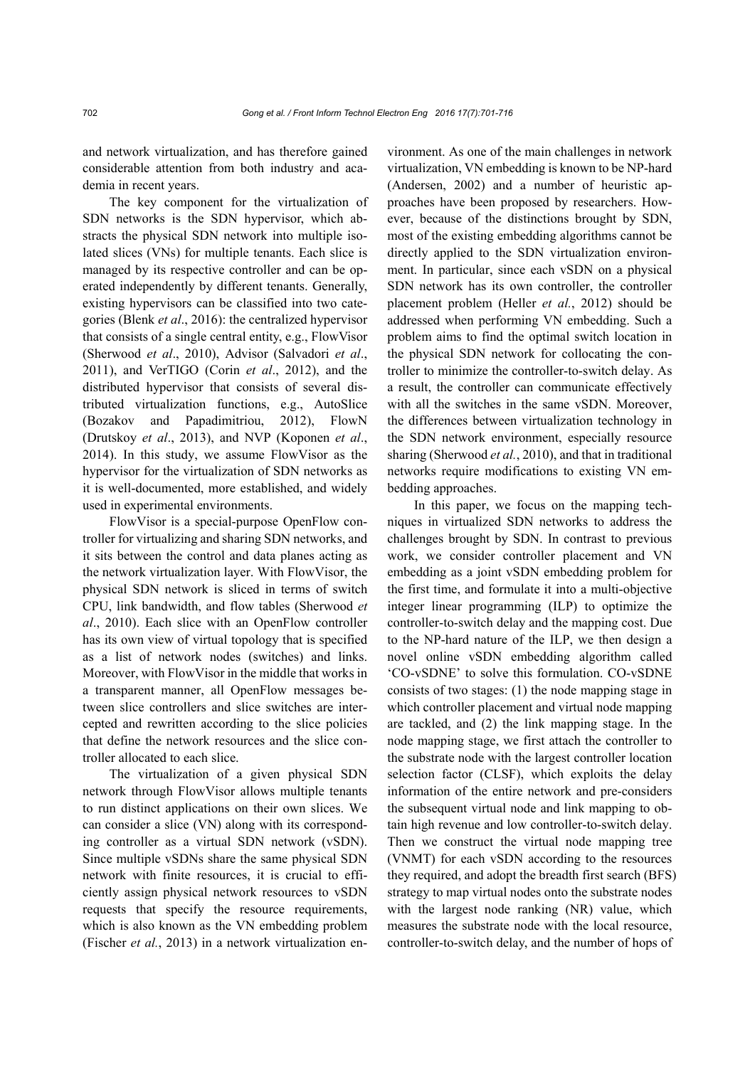and network virtualization, and has therefore gained considerable attention from both industry and academia in recent years.

The key component for the virtualization of SDN networks is the SDN hypervisor, which abstracts the physical SDN network into multiple isolated slices (VNs) for multiple tenants. Each slice is managed by its respective controller and can be operated independently by different tenants. Generally, existing hypervisors can be classified into two categories (Blenk *et al*., 2016): the centralized hypervisor that consists of a single central entity, e.g., FlowVisor (Sherwood *et al*., 2010), Advisor (Salvadori *et al*., 2011), and VerTIGO (Corin *et al*., 2012), and the distributed hypervisor that consists of several distributed virtualization functions, e.g., AutoSlice (Bozakov and Papadimitriou, 2012), FlowN (Drutskoy *et al*., 2013), and NVP (Koponen *et al*., 2014). In this study, we assume FlowVisor as the hypervisor for the virtualization of SDN networks as it is well-documented, more established, and widely used in experimental environments.

FlowVisor is a special-purpose OpenFlow controller for virtualizing and sharing SDN networks, and it sits between the control and data planes acting as the network virtualization layer. With FlowVisor, the physical SDN network is sliced in terms of switch CPU, link bandwidth, and flow tables (Sherwood *et al*., 2010). Each slice with an OpenFlow controller has its own view of virtual topology that is specified as a list of network nodes (switches) and links. Moreover, with FlowVisor in the middle that works in a transparent manner, all OpenFlow messages between slice controllers and slice switches are intercepted and rewritten according to the slice policies that define the network resources and the slice controller allocated to each slice.

The virtualization of a given physical SDN network through FlowVisor allows multiple tenants to run distinct applications on their own slices. We can consider a slice (VN) along with its corresponding controller as a virtual SDN network (vSDN). Since multiple vSDNs share the same physical SDN network with finite resources, it is crucial to efficiently assign physical network resources to vSDN requests that specify the resource requirements, which is also known as the VN embedding problem (Fischer *et al.*, 2013) in a network virtualization environment. As one of the main challenges in network virtualization, VN embedding is known to be NP-hard (Andersen, 2002) and a number of heuristic approaches have been proposed by researchers. However, because of the distinctions brought by SDN, most of the existing embedding algorithms cannot be directly applied to the SDN virtualization environment. In particular, since each vSDN on a physical SDN network has its own controller, the controller placement problem (Heller *et al.*, 2012) should be addressed when performing VN embedding. Such a problem aims to find the optimal switch location in the physical SDN network for collocating the controller to minimize the controller-to-switch delay. As a result, the controller can communicate effectively with all the switches in the same vSDN. Moreover, the differences between virtualization technology in the SDN network environment, especially resource sharing (Sherwood *et al.*, 2010), and that in traditional networks require modifications to existing VN embedding approaches.

In this paper, we focus on the mapping techniques in virtualized SDN networks to address the challenges brought by SDN. In contrast to previous work, we consider controller placement and VN embedding as a joint vSDN embedding problem for the first time, and formulate it into a multi-objective integer linear programming (ILP) to optimize the controller-to-switch delay and the mapping cost. Due to the NP-hard nature of the ILP, we then design a novel online vSDN embedding algorithm called 'CO-vSDNE' to solve this formulation. CO-vSDNE consists of two stages: (1) the node mapping stage in which controller placement and virtual node mapping are tackled, and (2) the link mapping stage. In the node mapping stage, we first attach the controller to the substrate node with the largest controller location selection factor (CLSF), which exploits the delay information of the entire network and pre-considers the subsequent virtual node and link mapping to obtain high revenue and low controller-to-switch delay. Then we construct the virtual node mapping tree (VNMT) for each vSDN according to the resources they required, and adopt the breadth first search (BFS) strategy to map virtual nodes onto the substrate nodes with the largest node ranking (NR) value, which measures the substrate node with the local resource, controller-to-switch delay, and the number of hops of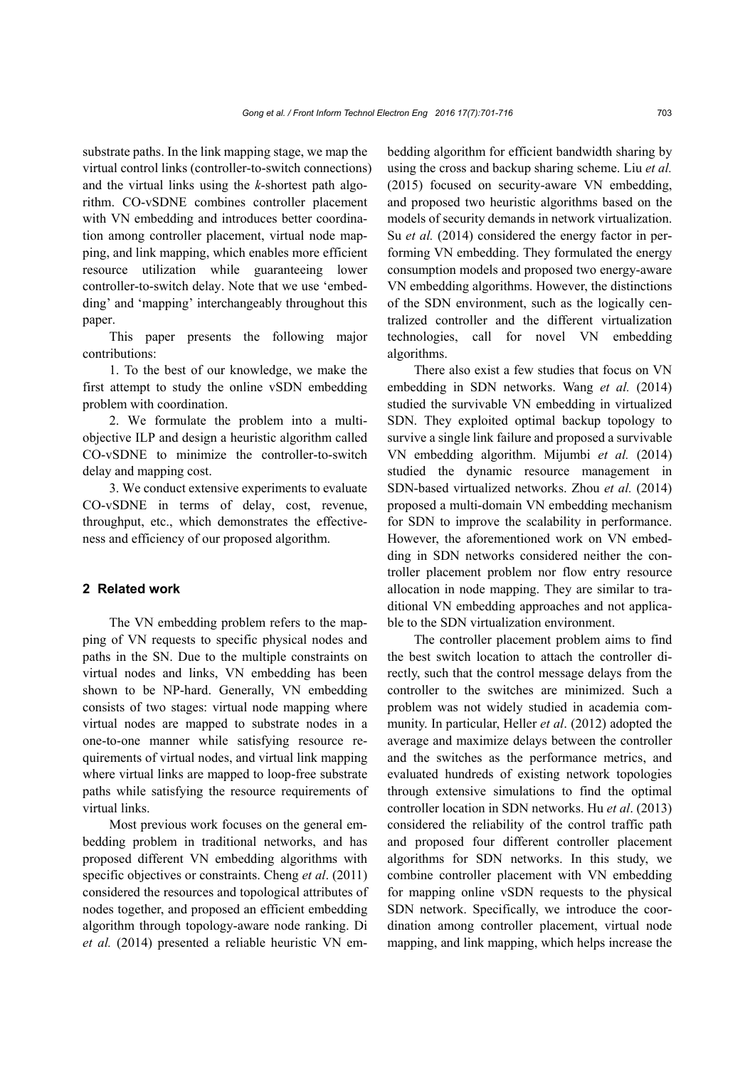substrate paths. In the link mapping stage, we map the virtual control links (controller-to-switch connections) and the virtual links using the *k*-shortest path algorithm. CO-vSDNE combines controller placement with VN embedding and introduces better coordination among controller placement, virtual node mapping, and link mapping, which enables more efficient resource utilization while guaranteeing lower controller-to-switch delay. Note that we use 'embedding' and 'mapping' interchangeably throughout this paper.

This paper presents the following major contributions:

1. To the best of our knowledge, we make the first attempt to study the online vSDN embedding problem with coordination.

2. We formulate the problem into a multiobjective ILP and design a heuristic algorithm called CO-vSDNE to minimize the controller-to-switch delay and mapping cost.

3. We conduct extensive experiments to evaluate CO-vSDNE in terms of delay, cost, revenue, throughput, etc., which demonstrates the effectiveness and efficiency of our proposed algorithm.

# **2 Related work**

The VN embedding problem refers to the mapping of VN requests to specific physical nodes and paths in the SN. Due to the multiple constraints on virtual nodes and links, VN embedding has been shown to be NP-hard. Generally, VN embedding consists of two stages: virtual node mapping where virtual nodes are mapped to substrate nodes in a one-to-one manner while satisfying resource requirements of virtual nodes, and virtual link mapping where virtual links are mapped to loop-free substrate paths while satisfying the resource requirements of virtual links.

Most previous work focuses on the general embedding problem in traditional networks, and has proposed different VN embedding algorithms with specific objectives or constraints. Cheng *et al*. (2011) considered the resources and topological attributes of nodes together, and proposed an efficient embedding algorithm through topology-aware node ranking. Di *et al.* (2014) presented a reliable heuristic VN embedding algorithm for efficient bandwidth sharing by using the cross and backup sharing scheme. Liu *et al.* (2015) focused on security-aware VN embedding, and proposed two heuristic algorithms based on the models of security demands in network virtualization. Su *et al.* (2014) considered the energy factor in performing VN embedding. They formulated the energy consumption models and proposed two energy-aware VN embedding algorithms. However, the distinctions of the SDN environment, such as the logically centralized controller and the different virtualization technologies, call for novel VN embedding algorithms.

There also exist a few studies that focus on VN embedding in SDN networks. Wang *et al.* (2014) studied the survivable VN embedding in virtualized SDN. They exploited optimal backup topology to survive a single link failure and proposed a survivable VN embedding algorithm. Mijumbi *et al.* (2014) studied the dynamic resource management in SDN-based virtualized networks. Zhou *et al.* (2014) proposed a multi-domain VN embedding mechanism for SDN to improve the scalability in performance. However, the aforementioned work on VN embedding in SDN networks considered neither the controller placement problem nor flow entry resource allocation in node mapping. They are similar to traditional VN embedding approaches and not applicable to the SDN virtualization environment.

The controller placement problem aims to find the best switch location to attach the controller directly, such that the control message delays from the controller to the switches are minimized. Such a problem was not widely studied in academia community. In particular, Heller *et al*. (2012) adopted the average and maximize delays between the controller and the switches as the performance metrics, and evaluated hundreds of existing network topologies through extensive simulations to find the optimal controller location in SDN networks. Hu *et al*. (2013) considered the reliability of the control traffic path and proposed four different controller placement algorithms for SDN networks. In this study, we combine controller placement with VN embedding for mapping online vSDN requests to the physical SDN network. Specifically, we introduce the coordination among controller placement, virtual node mapping, and link mapping, which helps increase the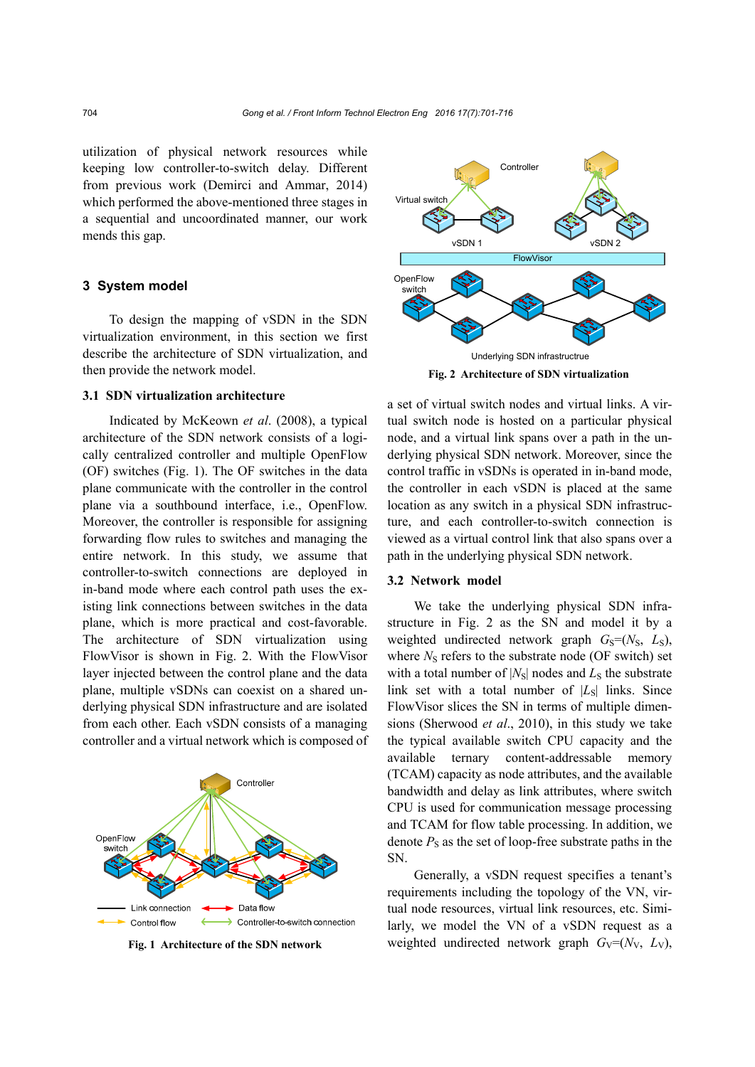utilization of physical network resources while keeping low controller-to-switch delay. Different from previous work (Demirci and Ammar, 2014) which performed the above-mentioned three stages in a sequential and uncoordinated manner, our work mends this gap.

# **3 System model**

To design the mapping of vSDN in the SDN virtualization environment, in this section we first describe the architecture of SDN virtualization, and then provide the network model.

#### **3.1 SDN virtualization architecture**

Indicated by McKeown *et al*. (2008), a typical architecture of the SDN network consists of a logically centralized controller and multiple OpenFlow (OF) switches (Fig. 1). The OF switches in the data plane communicate with the controller in the control plane via a southbound interface, i.e., OpenFlow. Moreover, the controller is responsible for assigning forwarding flow rules to switches and managing the entire network. In this study, we assume that controller-to-switch connections are deployed in in-band mode where each control path uses the existing link connections between switches in the data plane, which is more practical and cost-favorable. The architecture of SDN virtualization using FlowVisor is shown in Fig. 2. With the FlowVisor layer injected between the control plane and the data plane, multiple vSDNs can coexist on a shared underlying physical SDN infrastructure and are isolated from each other. Each vSDN consists of a managing controller and a virtual network which is composed of



**Fig. 1 Architecture of the SDN network** 



**Fig. 2 Architecture of SDN virtualization**

a set of virtual switch nodes and virtual links. A virtual switch node is hosted on a particular physical node, and a virtual link spans over a path in the underlying physical SDN network. Moreover, since the control traffic in vSDNs is operated in in-band mode, the controller in each vSDN is placed at the same location as any switch in a physical SDN infrastructure, and each controller-to-switch connection is viewed as a virtual control link that also spans over a path in the underlying physical SDN network.

## **3.2 Network model**

We take the underlying physical SDN infrastructure in Fig. 2 as the SN and model it by a weighted undirected network graph  $G_s = (N_s, L_s)$ , where  $N<sub>S</sub>$  refers to the substrate node (OF switch) set with a total number of  $|N_{\rm S}|$  nodes and  $L_{\rm S}$  the substrate link set with a total number of  $|L_S|$  links. Since FlowVisor slices the SN in terms of multiple dimensions (Sherwood *et al*., 2010), in this study we take the typical available switch CPU capacity and the available ternary content-addressable memory (TCAM) capacity as node attributes, and the available bandwidth and delay as link attributes, where switch CPU is used for communication message processing and TCAM for flow table processing. In addition, we denote  $P<sub>S</sub>$  as the set of loop-free substrate paths in the SN.

Generally, a vSDN request specifies a tenant's requirements including the topology of the VN, virtual node resources, virtual link resources, etc. Similarly, we model the VN of a vSDN request as a weighted undirected network graph  $G_V=(N_V, L_V)$ ,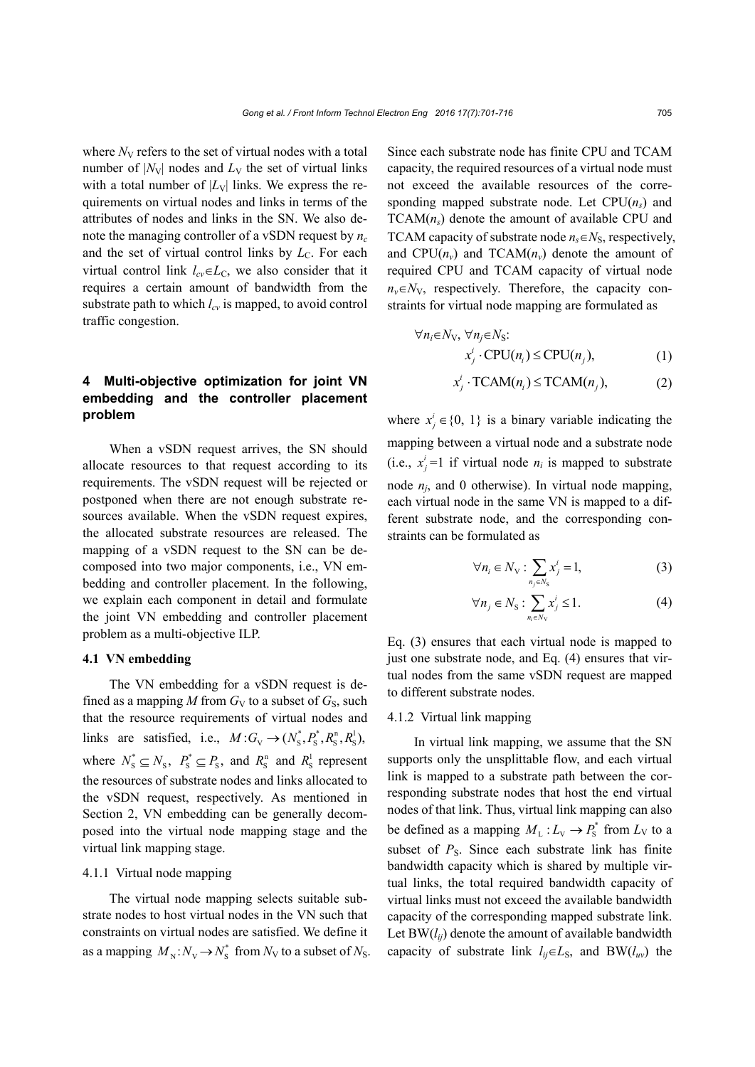where  $N_V$  refers to the set of virtual nodes with a total number of  $|N_V|$  nodes and  $L_V$  the set of virtual links with a total number of  $|L_V|$  links. We express the requirements on virtual nodes and links in terms of the attributes of nodes and links in the SN. We also denote the managing controller of a vSDN request by  $n_c$ and the set of virtual control links by  $L<sub>C</sub>$ . For each virtual control link  $l_{cv} \in L_c$ , we also consider that it requires a certain amount of bandwidth from the substrate path to which  $l_{cv}$  is mapped, to avoid control traffic congestion.

# **4 Multi-objective optimization for joint VN embedding and the controller placement problem**

When a vSDN request arrives, the SN should allocate resources to that request according to its requirements. The vSDN request will be rejected or postponed when there are not enough substrate resources available. When the vSDN request expires, the allocated substrate resources are released. The mapping of a vSDN request to the SN can be decomposed into two major components, i.e., VN embedding and controller placement. In the following, we explain each component in detail and formulate the joint VN embedding and controller placement problem as a multi-objective ILP.

# **4.1 VN embedding**

The VN embedding for a vSDN request is defined as a mapping  $M$  from  $G_V$  to a subset of  $G_S$ , such that the resource requirements of virtual nodes and links are satisfied, i.e.,  $M: G_V \to (N_s^*, P_s^*, R_s^n, R_s^1)$ , where  $N_s^* \subseteq N_s$ ,  $P_s^* \subseteq P_s$ , and  $R_s^n$  and  $R_s^1$  represent the resources of substrate nodes and links allocated to the vSDN request, respectively. As mentioned in Section 2, VN embedding can be generally decomposed into the virtual node mapping stage and the virtual link mapping stage.

#### 4.1.1 Virtual node mapping

The virtual node mapping selects suitable substrate nodes to host virtual nodes in the VN such that constraints on virtual nodes are satisfied. We define it as a mapping  $M_N: N_N \to N_S^*$  from  $N_N$  to a subset of  $N_S$ . Since each substrate node has finite CPU and TCAM capacity, the required resources of a virtual node must not exceed the available resources of the corresponding mapped substrate node. Let  $CPU(n<sub>s</sub>)$  and  $TCAM(n<sub>s</sub>)$  denote the amount of available CPU and TCAM capacity of substrate node  $n_s \in N_S$ , respectively, and  $CPU(n_v)$  and  $TCAM(n_v)$  denote the amount of required CPU and TCAM capacity of virtual node  $n_v \in N_V$ , respectively. Therefore, the capacity constraints for virtual node mapping are formulated as

$$
\forall n_i \in N_V, \forall n_j \in N_S: \n x_j^i \cdot CPU(n_i) \le CPU(n_j),
$$
\n(1)

$$
x_j^i \cdot \text{TCAM}(n_i) \le \text{TCAM}(n_j), \tag{2}
$$

where  $x_j^i \in \{0, 1\}$  is a binary variable indicating the mapping between a virtual node and a substrate node (i.e.,  $x_j^i = 1$  if virtual node  $n_i$  is mapped to substrate node  $n_i$ , and 0 otherwise). In virtual node mapping, each virtual node in the same VN is mapped to a different substrate node, and the corresponding constraints can be formulated as

$$
\forall n_i \in N_{\mathcal{V}} : \sum_{n_j \in N_{\mathcal{S}}} x_j^i = 1,\tag{3}
$$

$$
\forall n_j \in N_{\rm S} : \sum_{n_i \in N_{\rm V}} x_j^i \le 1. \tag{4}
$$

Eq. (3) ensures that each virtual node is mapped to just one substrate node, and Eq. (4) ensures that virtual nodes from the same vSDN request are mapped to different substrate nodes.

#### 4.1.2 Virtual link mapping

In virtual link mapping, we assume that the SN supports only the unsplittable flow, and each virtual link is mapped to a substrate path between the corresponding substrate nodes that host the end virtual nodes of that link. Thus, virtual link mapping can also be defined as a mapping  $M_L: L_V \to P_S^*$  from  $L_V$  to a subset of *P<sub>S</sub>*. Since each substrate link has finite bandwidth capacity which is shared by multiple virtual links, the total required bandwidth capacity of virtual links must not exceed the available bandwidth capacity of the corresponding mapped substrate link. Let  $BW(l_{ii})$  denote the amount of available bandwidth capacity of substrate link  $l_{ij} \in L_S$ , and BW( $l_{uv}$ ) the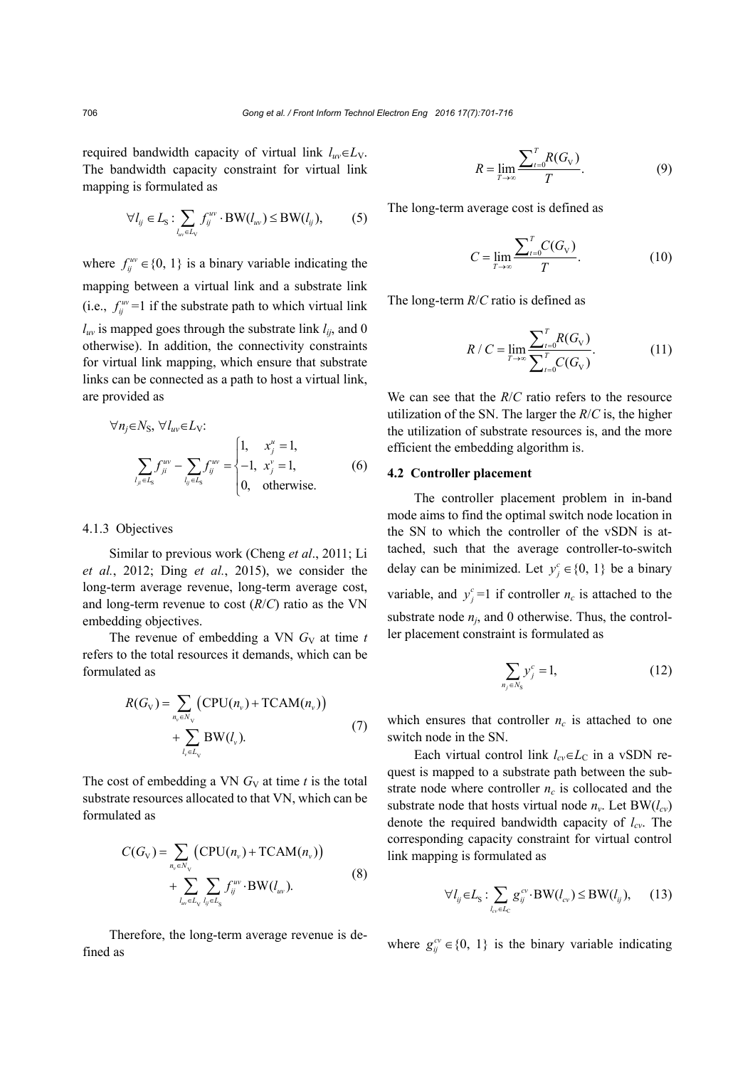required bandwidth capacity of virtual link  $l_{uv} \in L_V$ . The bandwidth capacity constraint for virtual link mapping is formulated as

$$
\forall l_{ij} \in L_{\rm S} : \sum_{l_{uv} \in L_{\rm V}} f_{ij}^{uv} \cdot \text{BW}(l_{uv}) \le \text{BW}(l_{ij}),\tag{5}
$$

where  $f_{ij}^{uv} \in \{0, 1\}$  is a binary variable indicating the mapping between a virtual link and a substrate link (i.e.,  $f_{ij}^{uv}$  =1 if the substrate path to which virtual link  $l_{uv}$  is mapped goes through the substrate link  $l_{ii}$ , and 0 otherwise). In addition, the connectivity constraints for virtual link mapping, which ensure that substrate links can be connected as a path to host a virtual link, are provided as

$$
\forall n_j \in N_S, \ \forall l_{uv} \in L_V:
$$
\n
$$
\sum_{l_{ji} \in L_S} f_{ji}^{uv} - \sum_{l_{ij} \in L_S} f_{ij}^{uv} = \begin{cases} 1, & x_j^{u} = 1, \\ -1, & x_j^{v} = 1, \\ 0, & \text{otherwise.} \end{cases} (6)
$$

#### 4.1.3 Objectives

Similar to previous work (Cheng *et al*., 2011; Li *et al.*, 2012; Ding *et al.*, 2015), we consider the long-term average revenue, long-term average cost, and long-term revenue to cost (*R*/*C*) ratio as the VN embedding objectives.

The revenue of embedding a VN  $G_V$  at time  $t$ refers to the total resources it demands, which can be formulated as

$$
R(G_{\mathbf{v}}) = \sum_{n_{\mathbf{v}} \in N_{\mathbf{v}}} \left( \text{CPU}(n_{\mathbf{v}}) + \text{TCAM}(n_{\mathbf{v}}) \right) + \sum_{l_{\mathbf{v}} \in L_{\mathbf{v}}} \text{BW}(l_{\mathbf{v}}).
$$
 (7)

The cost of embedding a VN  $G_V$  at time  $t$  is the total substrate resources allocated to that VN, which can be formulated as

$$
C(G_{\mathbf{v}}) = \sum_{n_{\mathbf{v}} \in N_{\mathbf{v}}} \left( \text{CPU}(n_{\mathbf{v}}) + \text{TCAM}(n_{\mathbf{v}}) \right) + \sum_{l_{\mathbf{w}} \in L_{\mathbf{v}}} \sum_{l_{\mathbf{y}} \in L_{\mathbf{S}}} f_{ij}^{\text{av}} \cdot \text{BW}(l_{\mathbf{w}}).
$$
\n(8)

Therefore, the long-term average revenue is defined as

$$
R = \lim_{T \to \infty} \frac{\sum_{t=0}^{T} R(G_{\rm V})}{T}.
$$
\n(9)

The long-term average cost is defined as

$$
C = \lim_{T \to \infty} \frac{\sum_{t=0}^{T} C(G_{V})}{T}.
$$
 (10)

The long-term *R*/*C* ratio is defined as

$$
R / C = \lim_{T \to \infty} \frac{\sum_{t=0}^{T} R(G_{\mathbf{V}})}{\sum_{t=0}^{T} C(G_{\mathbf{V}})}.
$$
 (11)

We can see that the *R*/*C* ratio refers to the resource utilization of the SN. The larger the *R*/*C* is, the higher the utilization of substrate resources is, and the more efficient the embedding algorithm is.

#### **4.2 Controller placement**

The controller placement problem in in-band mode aims to find the optimal switch node location in the SN to which the controller of the vSDN is attached, such that the average controller-to-switch delay can be minimized. Let  $y_j^c \in \{0, 1\}$  be a binary variable, and  $y_j^c = 1$  if controller  $n_c$  is attached to the substrate node  $n_i$ , and 0 otherwise. Thus, the controller placement constraint is formulated as

$$
\sum_{n_j \in N_S} y_j^c = 1,\tag{12}
$$

which ensures that controller  $n_c$  is attached to one switch node in the SN.

Each virtual control link  $l_{cv} \in L_C$  in a vSDN request is mapped to a substrate path between the substrate node where controller  $n_c$  is collocated and the substrate node that hosts virtual node  $n_v$ . Let BW( $l_{cv}$ ) denote the required bandwidth capacity of *lcv*. The corresponding capacity constraint for virtual control link mapping is formulated as

$$
\forall l_{ij} \in L_{\rm S} : \sum_{l_{\rm ev} \in L_{\rm C}} g_{ij}^{\rm cv} \cdot \text{BW}(l_{\rm ev}) \le \text{BW}(l_{ij}), \qquad (13)
$$

where  $g_{ij}^{cv} \in \{0, 1\}$  is the binary variable indicating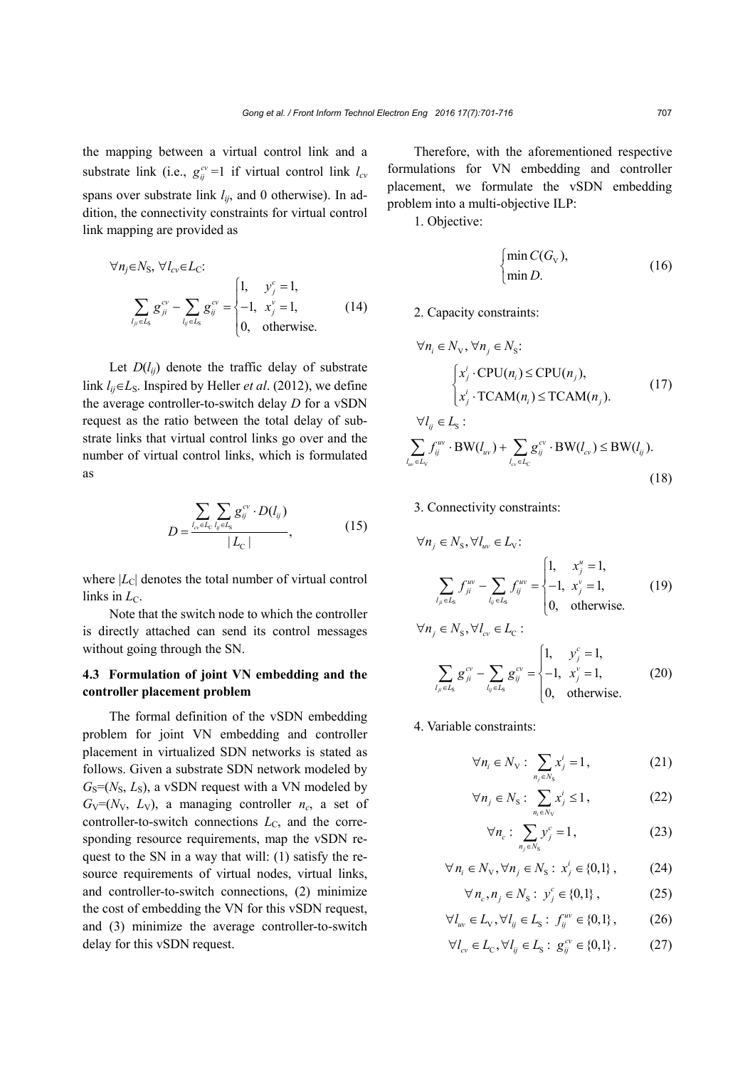the mapping between a virtual control link and a substrate link (i.e.,  $g_{ij}^{cv}$  =1 if virtual control link  $l_{cv}$ spans over substrate link *lij*, and 0 otherwise). In addition, the connectivity constraints for virtual control link mapping are provided as

$$
\forall n_j \in N_S, \ \forall l_{cv} \in L_C: \\ \sum_{l_{ji} \in L_S} g_{ji}^{cv} - \sum_{l_{ij} \in L_S} g_{ij}^{cv} = \begin{cases} 1, & y_j^c = 1, \\ -1, & x_j^v = 1, \\ 0, & \text{otherwise.} \end{cases} \tag{14}
$$

Let  $D(l_{ii})$  denote the traffic delay of substrate link  $l_{ij} \in L_S$ . Inspired by Heller *et al.* (2012), we define the average controller-to-switch delay *D* for a vSDN request as the ratio between the total delay of substrate links that virtual control links go over and the number of virtual control links, which is formulated as

$$
D = \frac{\sum_{l_{\text{ov}} \in L_{\text{C}}} \sum_{l_{ij} \in L_{\text{S}}}}{|L_{\text{C}}|},
$$
 (15)

where  $|L_C|$  denotes the total number of virtual control links in  $L_{\text{C}}$ .

Note that the switch node to which the controller is directly attached can send its control messages without going through the SN.

# **4.3 Formulation of joint VN embedding and the controller placement problem**

The formal definition of the vSDN embedding problem for joint VN embedding and controller placement in virtualized SDN networks is stated as follows. Given a substrate SDN network modeled by  $G_S=(N_S, L_S)$ , a vSDN request with a VN modeled by  $G_V=(N_V, L_V)$ , a managing controller  $n_c$ , a set of controller-to-switch connections  $L<sub>C</sub>$ , and the corresponding resource requirements, map the vSDN request to the SN in a way that will: (1) satisfy the resource requirements of virtual nodes, virtual links, and controller-to-switch connections, (2) minimize the cost of embedding the VN for this vSDN request, and (3) minimize the average controller-to-switch delay for this vSDN request.

Therefore, with the aforementioned respective formulations for VN embedding and controller placement, we formulate the vSDN embedding problem into a multi-objective ILP:

1. Objective:

$$
\begin{cases} \min C(G_{\rm V}), \\ \min D. \end{cases} \tag{16}
$$

2. Capacity constraints:

$$
\forall n_i \in N_v, \forall n_j \in N_s:
$$
  
\n
$$
\begin{cases}\n x_j^i \cdot CPU(n_i) \le CPU(n_j), \\
 x_j^i \cdot TCAM(n_i) \le TCAM(n_j).\n\end{cases}
$$
\n
$$
\forall l_{ij} \in L_s:
$$
  
\n
$$
\sum c_i^w \cdot DW(d_i) \cdot \sum c_i^w \cdot DW(d_i) \le PW(d_i)
$$

$$
\sum_{l_{uv}\in L_{V}} f_{ij}^{uv} \cdot BW(l_{uv}) + \sum_{l_{cv}\in L_{C}} g_{ij}^{cv} \cdot BW(l_{cv}) \le BW(l_{ij}).
$$
\n(18)

3. Connectivity constraints:

$$
\forall n_j \in N_{\rm s}, \forall l_{uv} \in L_{\rm v}: \\
\sum_{l_{ji} \in L_{\rm s}} f_{ji}^{uv} - \sum_{l_{ij} \in L_{\rm s}} f_{ij}^{uv} = \begin{cases} 1, & x_j^{u} = 1, \\ -1, & x_j^{v} = 1, \\ 0, & \text{otherwise.} \end{cases}
$$
(19)

$$
\forall n_j \in N_{\rm s}, \forall l_{\rm cv} \in L_{\rm C}:
$$
  

$$
\sum_{l_{ji} \in L_{\rm s}} g_{ji}^{\rm cv} - \sum_{l_{ij} \in L_{\rm s}} g_{ij}^{\rm cv} = \begin{cases} 1, & y_j^{\rm c} = 1, \\ -1, & x_j^{\rm v} = 1, \\ 0, & \text{otherwise.} \end{cases}
$$
 (20)

4. Variable constraints:

$$
\forall n_i \in N_{\mathcal{V}} : \sum_{n_j \in N_{\mathcal{S}}} x_j^i = 1, \tag{21}
$$

$$
\forall n_j \in N_{\rm S}: \sum_{n_i \in N_{\rm V}} x_j^i \le 1, \tag{22}
$$

$$
\forall n_c: \sum_{n_j \in N_S} y_j^c = 1, \qquad (23)
$$

$$
\forall n_i \in N_V, \forall n_j \in N_S: x_j^i \in \{0,1\},\tag{24}
$$

$$
\forall n_c, n_j \in N_S: y_j^c \in \{0, 1\},
$$
 (25)

$$
\forall l_{uv} \in L_{\mathbf{v}}, \forall l_{ij} \in L_{\mathbf{S}}: f_{ij}^{uv} \in \{0, 1\},\tag{26}
$$

$$
\forall l_{cv} \in L_{c}, \forall l_{ij} \in L_{s}: g_{ij}^{cv} \in \{0,1\}.
$$
 (27)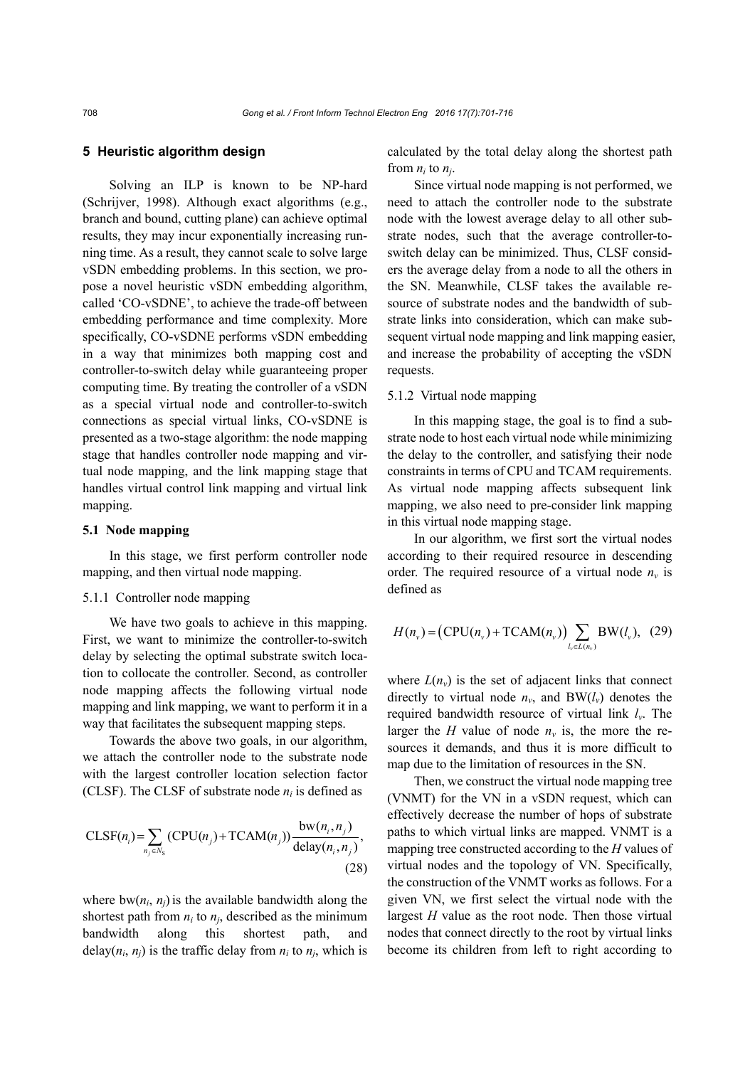# **5 Heuristic algorithm design**

Solving an ILP is known to be NP-hard (Schrijver, 1998). Although exact algorithms (e.g., branch and bound, cutting plane) can achieve optimal results, they may incur exponentially increasing running time. As a result, they cannot scale to solve large vSDN embedding problems. In this section, we propose a novel heuristic vSDN embedding algorithm, called 'CO-vSDNE', to achieve the trade-off between embedding performance and time complexity. More specifically, CO-vSDNE performs vSDN embedding in a way that minimizes both mapping cost and controller-to-switch delay while guaranteeing proper computing time. By treating the controller of a vSDN as a special virtual node and controller-to-switch connections as special virtual links, CO-vSDNE is presented as a two-stage algorithm: the node mapping stage that handles controller node mapping and virtual node mapping, and the link mapping stage that handles virtual control link mapping and virtual link mapping.

### **5.1 Node mapping**

In this stage, we first perform controller node mapping, and then virtual node mapping.

#### 5.1.1 Controller node mapping

We have two goals to achieve in this mapping. First, we want to minimize the controller-to-switch delay by selecting the optimal substrate switch location to collocate the controller. Second, as controller node mapping affects the following virtual node mapping and link mapping, we want to perform it in a way that facilitates the subsequent mapping steps.

Towards the above two goals, in our algorithm, we attach the controller node to the substrate node with the largest controller location selection factor (CLSF). The CLSF of substrate node  $n_i$  is defined as

$$
\text{CLSF}(n_i) = \sum_{n_j \in N_{\text{S}}} (\text{CPU}(n_j) + \text{TCAM}(n_j)) \frac{\text{bw}(n_i, n_j)}{\text{delay}(n_i, n_j)},
$$
\n(28)

where  $bw(n_i, n_j)$  is the available bandwidth along the shortest path from  $n_i$  to  $n_j$ , described as the minimum bandwidth along this shortest path, and delay( $n_i$ ,  $n_j$ ) is the traffic delay from  $n_i$  to  $n_j$ , which is calculated by the total delay along the shortest path from  $n_i$  to  $n_j$ .

Since virtual node mapping is not performed, we need to attach the controller node to the substrate node with the lowest average delay to all other substrate nodes, such that the average controller-toswitch delay can be minimized. Thus, CLSF considers the average delay from a node to all the others in the SN. Meanwhile, CLSF takes the available resource of substrate nodes and the bandwidth of substrate links into consideration, which can make subsequent virtual node mapping and link mapping easier, and increase the probability of accepting the vSDN requests.

# 5.1.2 Virtual node mapping

In this mapping stage, the goal is to find a substrate node to host each virtual node while minimizing the delay to the controller, and satisfying their node constraints in terms of CPU and TCAM requirements. As virtual node mapping affects subsequent link mapping, we also need to pre-consider link mapping in this virtual node mapping stage.

In our algorithm, we first sort the virtual nodes according to their required resource in descending order. The required resource of a virtual node  $n<sub>v</sub>$  is defined as

$$
H(n_v) = \big(\text{CPU}(n_v) + \text{TCAM}(n_v)\big) \sum_{l_v \in L(n_v)} \text{BW}(l_v), \tag{29}
$$

where  $L(n_v)$  is the set of adjacent links that connect directly to virtual node  $n_v$ , and BW $(l_v)$  denotes the required bandwidth resource of virtual link *lv*. The larger the *H* value of node  $n_v$  is, the more the resources it demands, and thus it is more difficult to map due to the limitation of resources in the SN.

Then, we construct the virtual node mapping tree (VNMT) for the VN in a vSDN request, which can effectively decrease the number of hops of substrate paths to which virtual links are mapped. VNMT is a mapping tree constructed according to the *H* values of virtual nodes and the topology of VN. Specifically, the construction of the VNMT works as follows. For a given VN, we first select the virtual node with the largest *H* value as the root node. Then those virtual nodes that connect directly to the root by virtual links become its children from left to right according to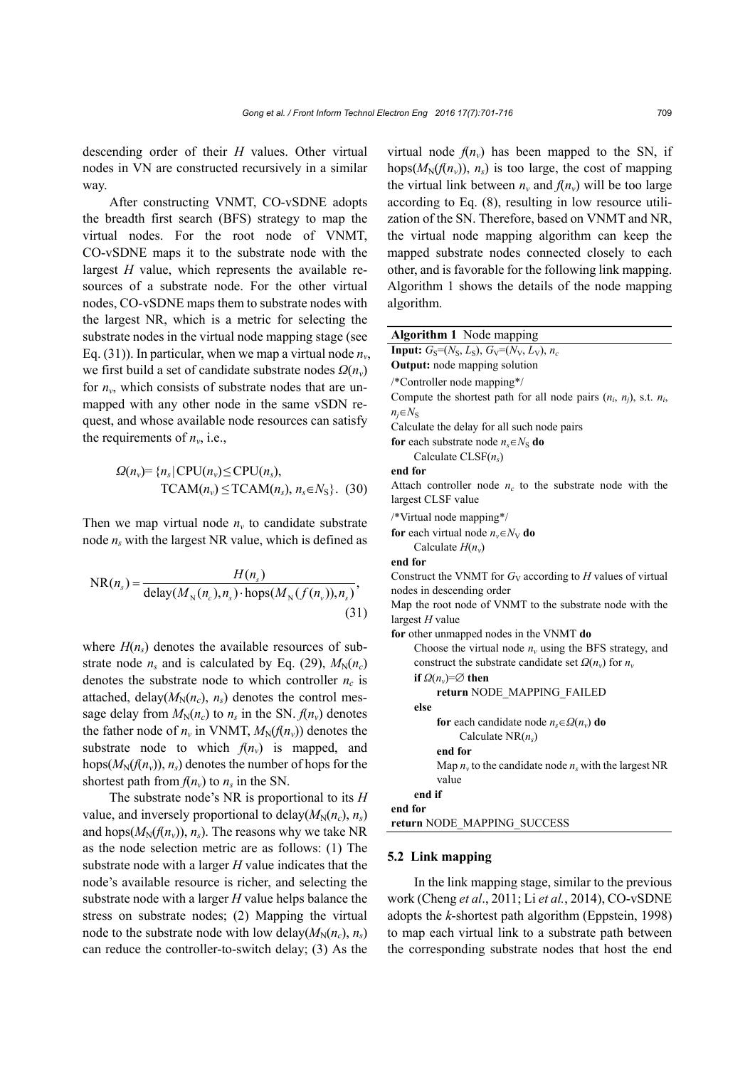descending order of their *H* values. Other virtual nodes in VN are constructed recursively in a similar way.

After constructing VNMT, CO-vSDNE adopts the breadth first search (BFS) strategy to map the virtual nodes. For the root node of VNMT, CO-vSDNE maps it to the substrate node with the largest *H* value, which represents the available resources of a substrate node. For the other virtual nodes, CO-vSDNE maps them to substrate nodes with the largest NR, which is a metric for selecting the substrate nodes in the virtual node mapping stage (see Eq. (31)). In particular, when we map a virtual node  $n_v$ , we first build a set of candidate substrate nodes *Ω*(*nv*) for  $n_v$ , which consists of substrate nodes that are unmapped with any other node in the same vSDN request, and whose available node resources can satisfy the requirements of  $n_v$ , i.e.,

$$
\Omega(n_v) = \{n_s | CPU(n_v) \le CPU(n_s),\newline \text{TCAM}(n_v) \le TCAM(n_s), n_s \in N_S\}. (30)
$$

Then we map virtual node  $n<sub>v</sub>$  to candidate substrate node  $n_s$  with the largest NR value, which is defined as

$$
NR(n_s) = \frac{H(n_s)}{\text{delay}(M_N(n_c), n_s) \cdot \text{hops}(M_N(f(n_v)), n_s)},
$$
\n(31)

where  $H(n<sub>s</sub>)$  denotes the available resources of substrate node  $n_s$  and is calculated by Eq. (29),  $M_N(n_c)$ denotes the substrate node to which controller  $n_c$  is attached, delay( $M_N(n_c)$ ,  $n_s$ ) denotes the control message delay from  $M_N(n_c)$  to  $n_s$  in the SN.  $f(n_v)$  denotes the father node of  $n_v$  in VNMT,  $M_N(f(n_v))$  denotes the substrate node to which  $f(n_v)$  is mapped, and hops( $M_N(f(n_v))$ ,  $n_s$ ) denotes the number of hops for the shortest path from  $f(n_v)$  to  $n_s$  in the SN.

The substrate node's NR is proportional to its *H* value, and inversely proportional to delay( $M_N(n_c)$ ,  $n_s$ ) and hops( $M_N(f(n_v))$ ,  $n_s$ ). The reasons why we take NR as the node selection metric are as follows: (1) The substrate node with a larger *H* value indicates that the node's available resource is richer, and selecting the substrate node with a larger *H* value helps balance the stress on substrate nodes; (2) Mapping the virtual node to the substrate node with low delay( $M_N(n_c)$ ,  $n_s$ ) can reduce the controller-to-switch delay; (3) As the

virtual node  $f(n_v)$  has been mapped to the SN, if hops( $M_N(f(n_v))$ ,  $n_s$ ) is too large, the cost of mapping the virtual link between  $n_v$  and  $f(n_v)$  will be too large according to Eq. (8), resulting in low resource utilization of the SN. Therefore, based on VNMT and NR, the virtual node mapping algorithm can keep the mapped substrate nodes connected closely to each other, and is favorable for the following link mapping. Algorithm 1 shows the details of the node mapping algorithm.

| Algorithm 1 Node mapping                                                 |  |  |
|--------------------------------------------------------------------------|--|--|
| <b>Input:</b> $G_S = (N_S, L_S), G_V = (N_V, L_V), n_c$                  |  |  |
| <b>Output:</b> node mapping solution                                     |  |  |
| /*Controller node mapping*/                                              |  |  |
| Compute the shortest path for all node pairs $(n_i, n_j)$ , s.t. $n_i$ , |  |  |
| $n_i \in N_{\rm S}$                                                      |  |  |
| Calculate the delay for all such node pairs                              |  |  |
| for each substrate node $n_s \in N_S$ do                                 |  |  |
| Calculate $CLSF(n_s)$                                                    |  |  |
| end for                                                                  |  |  |
| Attach controller node $n_c$ to the substrate node with the              |  |  |
| largest CLSF value                                                       |  |  |
| /*Virtual node mapping*/                                                 |  |  |
| <b>for</b> each virtual node $n_v \in N_V$ <b>do</b>                     |  |  |
| Calculate $H(n_v)$                                                       |  |  |
| end for                                                                  |  |  |
| Construct the VNMT for $G_V$ according to H values of virtual            |  |  |
| nodes in descending order                                                |  |  |
| Map the root node of VNMT to the substrate node with the                 |  |  |
| largest $H$ value                                                        |  |  |
| for other unmapped nodes in the VNMT do                                  |  |  |
| Choose the virtual node $nv$ using the BFS strategy, and                 |  |  |
| construct the substrate candidate set $\Omega(n_v)$ for $n_v$            |  |  |
| if $\Omega(n_v) = \varnothing$ then                                      |  |  |
| return NODE MAPPING FAILED<br>else                                       |  |  |
|                                                                          |  |  |
| for each candidate node $n_s \in \Omega(n_v)$ do<br>Calculate $NR(n_s)$  |  |  |
| end for                                                                  |  |  |
| Map $n_v$ to the candidate node $n_s$ with the largest NR                |  |  |
| value                                                                    |  |  |
| end if                                                                   |  |  |
| end for                                                                  |  |  |
| return NODE MAPPING SUCCESS                                              |  |  |
|                                                                          |  |  |

#### **5.2 Link mapping**

In the link mapping stage, similar to the previous work (Cheng *et al*., 2011; Li *et al.*, 2014), CO-vSDNE adopts the *k*-shortest path algorithm (Eppstein, 1998) to map each virtual link to a substrate path between the corresponding substrate nodes that host the end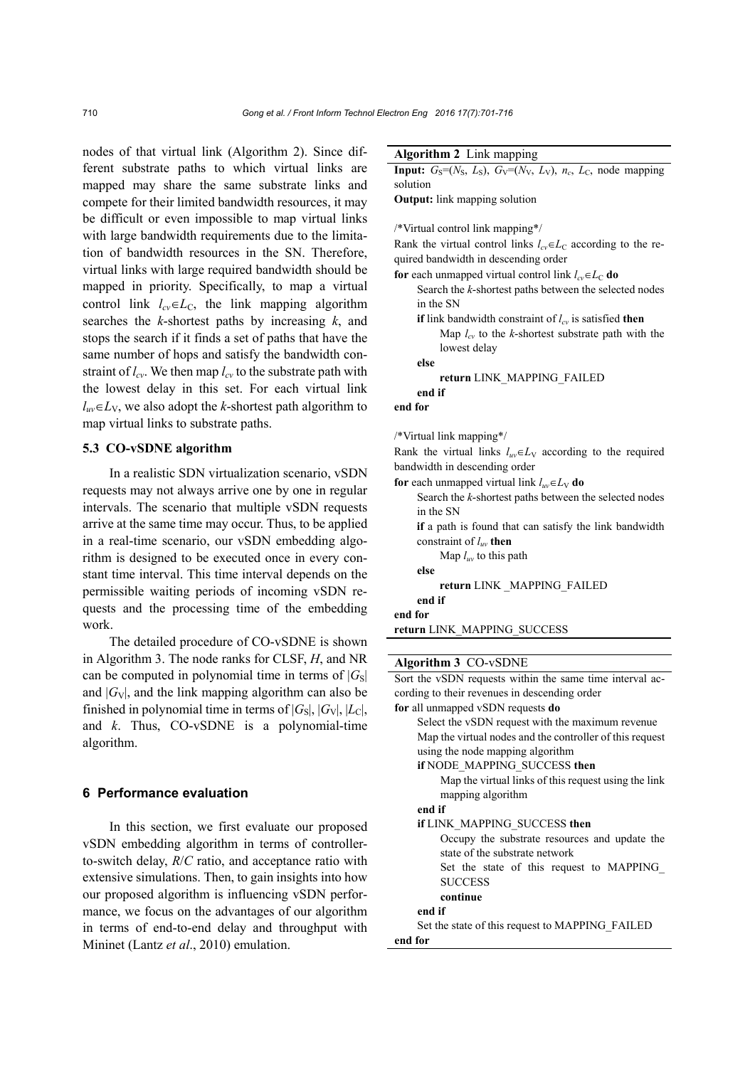**Algorithm 2** Link mapping

nodes of that virtual link (Algorithm 2). Since different substrate paths to which virtual links are mapped may share the same substrate links and compete for their limited bandwidth resources, it may be difficult or even impossible to map virtual links with large bandwidth requirements due to the limitation of bandwidth resources in the SN. Therefore, virtual links with large required bandwidth should be mapped in priority. Specifically, to map a virtual control link  $l_{cv} \in L_C$ , the link mapping algorithm searches the *k*-shortest paths by increasing *k*, and stops the search if it finds a set of paths that have the same number of hops and satisfy the bandwidth constraint of  $l_{cv}$ . We then map  $l_{cv}$  to the substrate path with the lowest delay in this set. For each virtual link  $l_{uv} \in L_V$ , we also adopt the *k*-shortest path algorithm to map virtual links to substrate paths.

# **5.3 CO-vSDNE algorithm**

In a realistic SDN virtualization scenario, vSDN requests may not always arrive one by one in regular intervals. The scenario that multiple vSDN requests arrive at the same time may occur. Thus, to be applied in a real-time scenario, our vSDN embedding algorithm is designed to be executed once in every constant time interval. This time interval depends on the permissible waiting periods of incoming vSDN requests and the processing time of the embedding work.

The detailed procedure of CO-vSDNE is shown in Algorithm 3. The node ranks for CLSF, *H*, and NR can be computed in polynomial time in terms of  $|G_{\rm S}|$ and  $|G_V|$ , and the link mapping algorithm can also be finished in polynomial time in terms of  $|G_S|$ ,  $|G_V|$ ,  $|L_C|$ , and *k*. Thus, CO-vSDNE is a polynomial-time algorithm.

#### **6 Performance evaluation**

In this section, we first evaluate our proposed vSDN embedding algorithm in terms of controllerto-switch delay, *R*/*C* ratio, and acceptance ratio with extensive simulations. Then, to gain insights into how our proposed algorithm is influencing vSDN performance, we focus on the advantages of our algorithm in terms of end-to-end delay and throughput with Mininet (Lantz *et al*., 2010) emulation.

| <b>Input:</b> $G_S=(N_S, L_S)$ , $G_V=(N_V, L_V)$ , $n_c$ , $L_C$ , node mapping |  |  |
|----------------------------------------------------------------------------------|--|--|
| solution                                                                         |  |  |
| <b>Output:</b> link mapping solution                                             |  |  |
|                                                                                  |  |  |
| /*Virtual control link mapping*/                                                 |  |  |
| Rank the virtual control links $l_{cv} \in L_C$ according to the re-             |  |  |
| quired bandwidth in descending order                                             |  |  |
| for each unmapped virtual control link $l_{cv} \in L_C$ do                       |  |  |
| Search the k-shortest paths between the selected nodes<br>in the SN              |  |  |
| <b>if</b> link bandwidth constraint of $l_{cv}$ is satisfied <b>then</b>         |  |  |
| Map $l_{cv}$ to the k-shortest substrate path with the                           |  |  |
| lowest delay                                                                     |  |  |
| else                                                                             |  |  |
| return LINK MAPPING FAILED                                                       |  |  |
| end if                                                                           |  |  |
| end for                                                                          |  |  |
|                                                                                  |  |  |
| /*Virtual link mapping*/                                                         |  |  |
| Rank the virtual links $l_{uv} \in L_V$ according to the required                |  |  |
| bandwidth in descending order                                                    |  |  |
| for each unmapped virtual link $l_{uv} \in L_V$ do                               |  |  |
| Search the k-shortest paths between the selected nodes                           |  |  |
| in the SN                                                                        |  |  |
| if a path is found that can satisfy the link bandwidth                           |  |  |
| constraint of $l_{uv}$ then                                                      |  |  |
| Map $l_{uv}$ to this path                                                        |  |  |
| else                                                                             |  |  |
| return LINK _MAPPING_FAILED                                                      |  |  |
| end if                                                                           |  |  |
| end for                                                                          |  |  |
| return LINK_MAPPING_SUCCESS                                                      |  |  |

#### **Algorithm 3** CO-vSDNE

Sort the vSDN requests within the same time interval according to their revenues in descending order **for** all unmapped vSDN requests **do**

| Select the vSDN request with the maximum revenue         |  |
|----------------------------------------------------------|--|
| Map the virtual nodes and the controller of this request |  |
| using the node mapping algorithm                         |  |
| if NODE MAPPING SUCCESS then                             |  |
| Map the virtual links of this request using the link     |  |
| mapping algorithm                                        |  |
| end if                                                   |  |
| if LINK MAPPING SUCCESS then                             |  |
| Occupy the substrate resources and update the            |  |
| state of the substrate network                           |  |
| Set the state of this request to MAPPING                 |  |
| <b>SUCCESS</b>                                           |  |
| continue                                                 |  |
| end if                                                   |  |
| Set the state of this request to MAPPING FAILED          |  |
| end for                                                  |  |
|                                                          |  |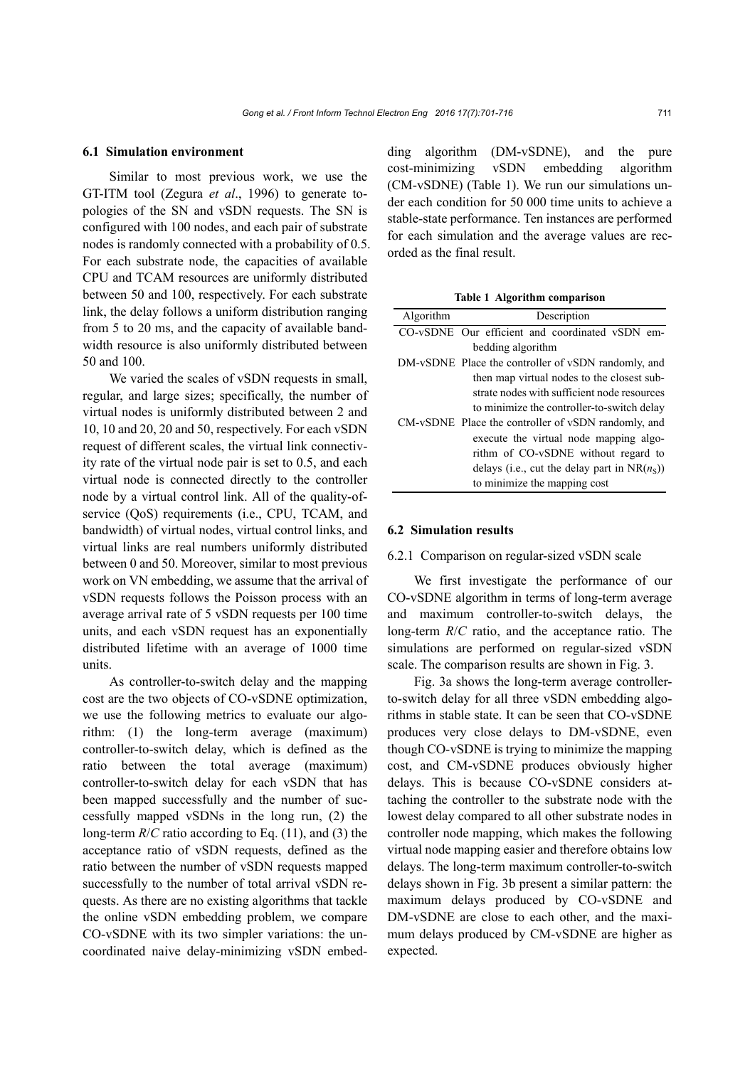#### **6.1 Simulation environment**

Similar to most previous work, we use the GT-ITM tool (Zegura *et al*., 1996) to generate topologies of the SN and vSDN requests. The SN is configured with 100 nodes, and each pair of substrate nodes is randomly connected with a probability of 0.5. For each substrate node, the capacities of available CPU and TCAM resources are uniformly distributed between 50 and 100, respectively. For each substrate link, the delay follows a uniform distribution ranging from 5 to 20 ms, and the capacity of available bandwidth resource is also uniformly distributed between 50 and 100.

We varied the scales of vSDN requests in small, regular, and large sizes; specifically, the number of virtual nodes is uniformly distributed between 2 and 10, 10 and 20, 20 and 50, respectively. For each vSDN request of different scales, the virtual link connectivity rate of the virtual node pair is set to 0.5, and each virtual node is connected directly to the controller node by a virtual control link. All of the quality-ofservice (QoS) requirements (i.e., CPU, TCAM, and bandwidth) of virtual nodes, virtual control links, and virtual links are real numbers uniformly distributed between 0 and 50. Moreover, similar to most previous work on VN embedding, we assume that the arrival of vSDN requests follows the Poisson process with an average arrival rate of 5 vSDN requests per 100 time units, and each vSDN request has an exponentially distributed lifetime with an average of 1000 time units.

As controller-to-switch delay and the mapping cost are the two objects of CO-vSDNE optimization, we use the following metrics to evaluate our algorithm: (1) the long-term average (maximum) controller-to-switch delay, which is defined as the ratio between the total average (maximum) controller-to-switch delay for each vSDN that has been mapped successfully and the number of successfully mapped vSDNs in the long run, (2) the long-term *R*/*C* ratio according to Eq. (11), and (3) the acceptance ratio of vSDN requests, defined as the ratio between the number of vSDN requests mapped successfully to the number of total arrival vSDN requests. As there are no existing algorithms that tackle the online vSDN embedding problem, we compare CO-vSDNE with its two simpler variations: the uncoordinated naive delay-minimizing vSDN embedding algorithm (DM-vSDNE), and the pure cost-minimizing vSDN embedding algorithm (CM-vSDNE) (Table 1). We run our simulations under each condition for 50 000 time units to achieve a stable-state performance. Ten instances are performed for each simulation and the average values are recorded as the final result.

**Table 1 Algorithm comparison**

| Algorithm | Description                                         |
|-----------|-----------------------------------------------------|
|           | CO-vSDNE Our efficient and coordinated vSDN em-     |
|           | bedding algorithm                                   |
|           | DM-vSDNE Place the controller of vSDN randomly, and |
|           | then map virtual nodes to the closest sub-          |
|           | strate nodes with sufficient node resources         |
|           | to minimize the controller-to-switch delay          |
|           | CM-vSDNE Place the controller of vSDN randomly, and |
|           | execute the virtual node mapping algo-              |
|           | rithm of CO-vSDNE without regard to                 |
|           | delays (i.e., cut the delay part in $NR(n_s)$ )     |
|           | to minimize the mapping cost                        |

#### **6.2 Simulation results**

## 6.2.1 Comparison on regular-sized vSDN scale

We first investigate the performance of our CO-vSDNE algorithm in terms of long-term average and maximum controller-to-switch delays, the long-term *R*/*C* ratio, and the acceptance ratio. The simulations are performed on regular-sized vSDN scale. The comparison results are shown in Fig. 3.

Fig. 3a shows the long-term average controllerto-switch delay for all three vSDN embedding algorithms in stable state. It can be seen that CO-vSDNE produces very close delays to DM-vSDNE, even though CO-vSDNE is trying to minimize the mapping cost, and CM-vSDNE produces obviously higher delays. This is because CO-vSDNE considers attaching the controller to the substrate node with the lowest delay compared to all other substrate nodes in controller node mapping, which makes the following virtual node mapping easier and therefore obtains low delays. The long-term maximum controller-to-switch delays shown in Fig. 3b present a similar pattern: the maximum delays produced by CO-vSDNE and DM-vSDNE are close to each other, and the maximum delays produced by CM-vSDNE are higher as expected.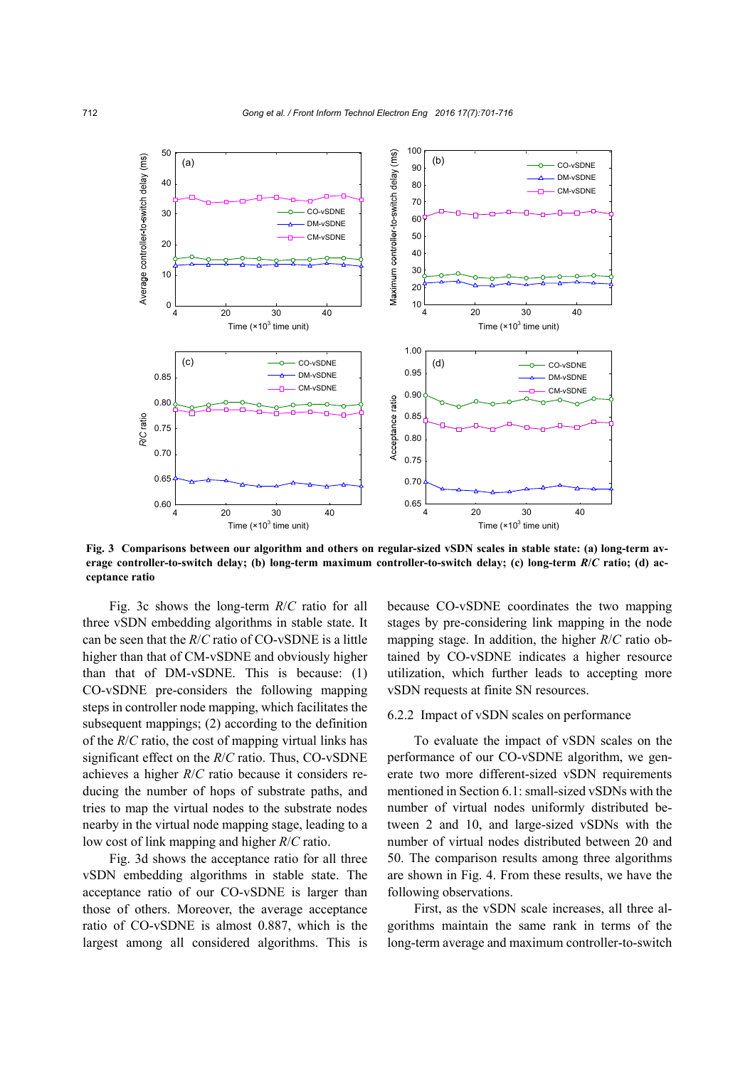

**Fig. 3 Comparisons between our algorithm and others on regular-sized vSDN scales in stable state: (a) long-term average controller-to-switch delay; (b) long-term maximum controller-to-switch delay; (c) long-term** *R***/***C* **ratio; (d) acceptance ratio** 

Fig. 3c shows the long-term *R*/*C* ratio for all three vSDN embedding algorithms in stable state. It can be seen that the *R*/*C* ratio of CO-vSDNE is a little higher than that of CM-vSDNE and obviously higher than that of DM-vSDNE. This is because: (1) CO-vSDNE pre-considers the following mapping steps in controller node mapping, which facilitates the subsequent mappings; (2) according to the definition of the *R*/*C* ratio, the cost of mapping virtual links has significant effect on the *R*/*C* ratio. Thus, CO-vSDNE achieves a higher *R*/*C* ratio because it considers reducing the number of hops of substrate paths, and tries to map the virtual nodes to the substrate nodes nearby in the virtual node mapping stage, leading to a low cost of link mapping and higher *R*/*C* ratio.

Fig. 3d shows the acceptance ratio for all three vSDN embedding algorithms in stable state. The acceptance ratio of our CO-vSDNE is larger than those of others. Moreover, the average acceptance ratio of CO-vSDNE is almost 0.887, which is the largest among all considered algorithms. This is

because CO-vSDNE coordinates the two mapping stages by pre-considering link mapping in the node mapping stage. In addition, the higher *R*/*C* ratio obtained by CO-vSDNE indicates a higher resource utilization, which further leads to accepting more vSDN requests at finite SN resources.

#### 6.2.2 Impact of vSDN scales on performance

To evaluate the impact of vSDN scales on the performance of our CO-vSDNE algorithm, we generate two more different-sized vSDN requirements mentioned in Section 6.1: small-sized vSDNs with the number of virtual nodes uniformly distributed between 2 and 10, and large-sized vSDNs with the number of virtual nodes distributed between 20 and 50. The comparison results among three algorithms are shown in Fig. 4. From these results, we have the following observations.

First, as the vSDN scale increases, all three algorithms maintain the same rank in terms of the long-term average and maximum controller-to-switch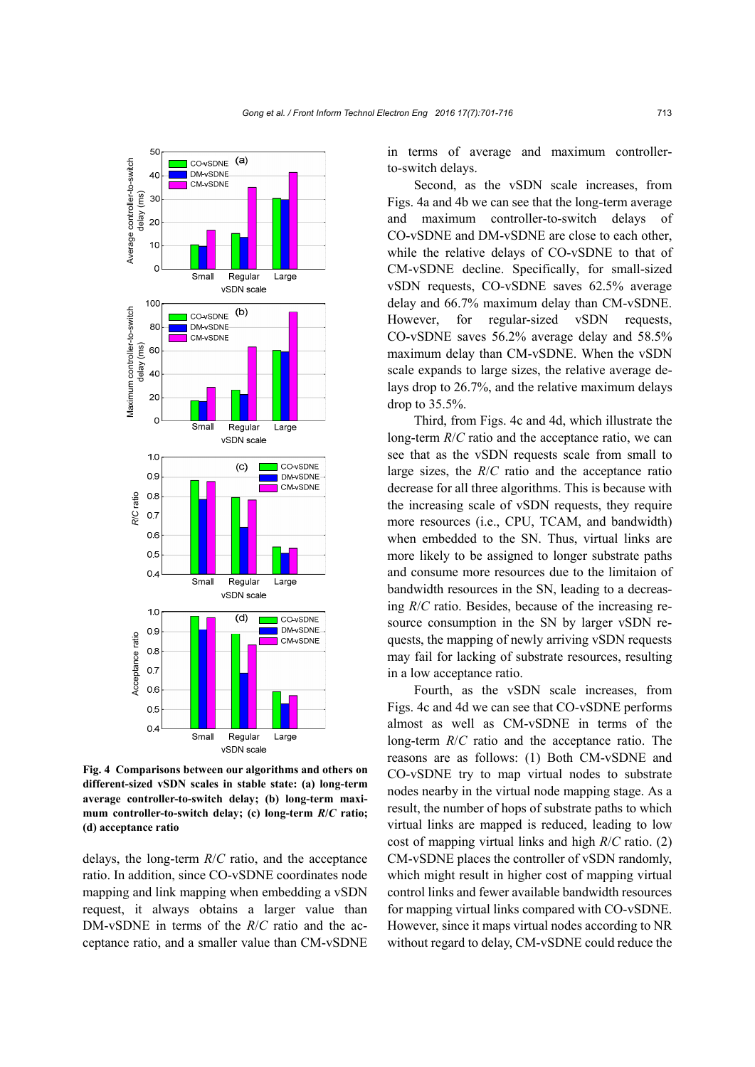

**Fig. 4 Comparisons between our algorithms and others on different-sized vSDN scales in stable state: (a) long-term average controller-to-switch delay; (b) long-term maximum controller-to-switch delay; (c) long-term** *R***/***C* **ratio;** (d) acceptance ratio

delays, the long-term *R*/*C* ratio, and the acceptance ratio. In addition, since CO-vSDNE coordinates node mapping and link mapping when embedding a vSDN request, it always obtains a larger value than DM-vSDNE in terms of the *R*/*C* ratio and the acceptance ratio, and a smaller value than CM-vSDNE in terms of average and maximum controllerto-switch delays.

Second, as the vSDN scale increases, from Figs. 4a and 4b we can see that the long-term average and maximum controller-to-switch delays of CO-vSDNE and DM-vSDNE are close to each other, while the relative delays of CO-vSDNE to that of CM-vSDNE decline. Specifically, for small-sized vSDN requests, CO-vSDNE saves 62.5% average delay and 66.7% maximum delay than CM-vSDNE. However, for regular-sized vSDN requests, CO-vSDNE saves 56.2% average delay and 58.5% maximum delay than CM-vSDNE. When the vSDN scale expands to large sizes, the relative average delays drop to 26.7%, and the relative maximum delays drop to 35.5%.

Third, from Figs. 4c and 4d, which illustrate the long-term *R*/*C* ratio and the acceptance ratio, we can see that as the vSDN requests scale from small to large sizes, the *R*/*C* ratio and the acceptance ratio decrease for all three algorithms. This is because with the increasing scale of vSDN requests, they require more resources (i.e., CPU, TCAM, and bandwidth) when embedded to the SN. Thus, virtual links are more likely to be assigned to longer substrate paths and consume more resources due to the limitaion of bandwidth resources in the SN, leading to a decreasing *R*/*C* ratio. Besides, because of the increasing resource consumption in the SN by larger vSDN requests, the mapping of newly arriving vSDN requests may fail for lacking of substrate resources, resulting in a low acceptance ratio.

Fourth, as the vSDN scale increases, from Figs. 4c and 4d we can see that CO-vSDNE performs almost as well as CM-vSDNE in terms of the long-term *R*/*C* ratio and the acceptance ratio. The reasons are as follows: (1) Both CM-vSDNE and CO-vSDNE try to map virtual nodes to substrate nodes nearby in the virtual node mapping stage. As a result, the number of hops of substrate paths to which virtual links are mapped is reduced, leading to low cost of mapping virtual links and high *R*/*C* ratio. (2) CM-vSDNE places the controller of vSDN randomly, which might result in higher cost of mapping virtual control links and fewer available bandwidth resources for mapping virtual links compared with CO-vSDNE. However, since it maps virtual nodes according to NR without regard to delay, CM-vSDNE could reduce the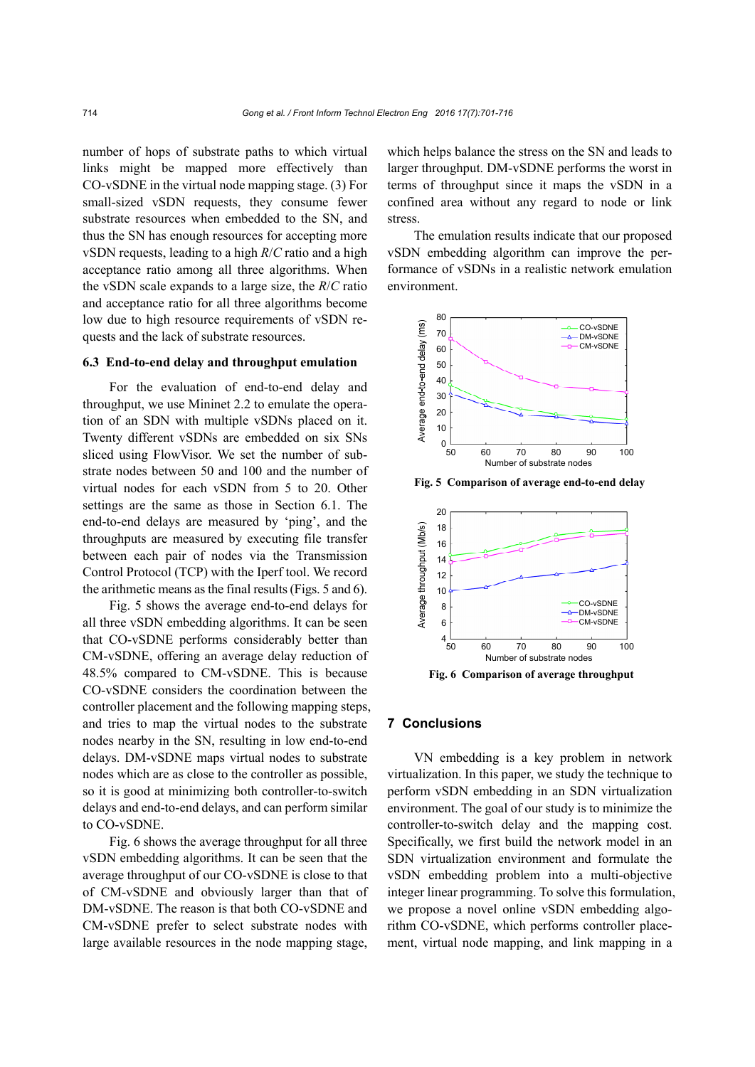number of hops of substrate paths to which virtual links might be mapped more effectively than CO-vSDNE in the virtual node mapping stage. (3) For small-sized vSDN requests, they consume fewer substrate resources when embedded to the SN, and thus the SN has enough resources for accepting more vSDN requests, leading to a high *R*/*C* ratio and a high acceptance ratio among all three algorithms. When the vSDN scale expands to a large size, the *R*/*C* ratio and acceptance ratio for all three algorithms become low due to high resource requirements of vSDN requests and the lack of substrate resources.

#### **6.3 End-to-end delay and throughput emulation**

For the evaluation of end-to-end delay and throughput, we use Mininet 2.2 to emulate the operation of an SDN with multiple vSDNs placed on it. Twenty different vSDNs are embedded on six SNs sliced using FlowVisor. We set the number of substrate nodes between 50 and 100 and the number of virtual nodes for each vSDN from 5 to 20. Other settings are the same as those in Section 6.1. The end-to-end delays are measured by 'ping', and the throughputs are measured by executing file transfer between each pair of nodes via the Transmission Control Protocol (TCP) with the Iperf tool. We record the arithmetic means as the final results (Figs. 5 and 6).

Fig. 5 shows the average end-to-end delays for all three vSDN embedding algorithms. It can be seen that CO-vSDNE performs considerably better than CM-vSDNE, offering an average delay reduction of 48.5% compared to CM-vSDNE. This is because CO-vSDNE considers the coordination between the controller placement and the following mapping steps, and tries to map the virtual nodes to the substrate nodes nearby in the SN, resulting in low end-to-end delays. DM-vSDNE maps virtual nodes to substrate nodes which are as close to the controller as possible, so it is good at minimizing both controller-to-switch delays and end-to-end delays, and can perform similar to CO-vSDNE.

Fig. 6 shows the average throughput for all three vSDN embedding algorithms. It can be seen that the average throughput of our CO-vSDNE is close to that of CM-vSDNE and obviously larger than that of DM-vSDNE. The reason is that both CO-vSDNE and CM-vSDNE prefer to select substrate nodes with large available resources in the node mapping stage, which helps balance the stress on the SN and leads to larger throughput. DM-vSDNE performs the worst in terms of throughput since it maps the vSDN in a confined area without any regard to node or link stress.

The emulation results indicate that our proposed vSDN embedding algorithm can improve the performance of vSDNs in a realistic network emulation environment.



**Fig. 5 Comparison of average end-to-end delay** 



# **7 Conclusions**

VN embedding is a key problem in network virtualization. In this paper, we study the technique to perform vSDN embedding in an SDN virtualization environment. The goal of our study is to minimize the controller-to-switch delay and the mapping cost. Specifically, we first build the network model in an SDN virtualization environment and formulate the vSDN embedding problem into a multi-objective integer linear programming. To solve this formulation, we propose a novel online vSDN embedding algorithm CO-vSDNE, which performs controller placement, virtual node mapping, and link mapping in a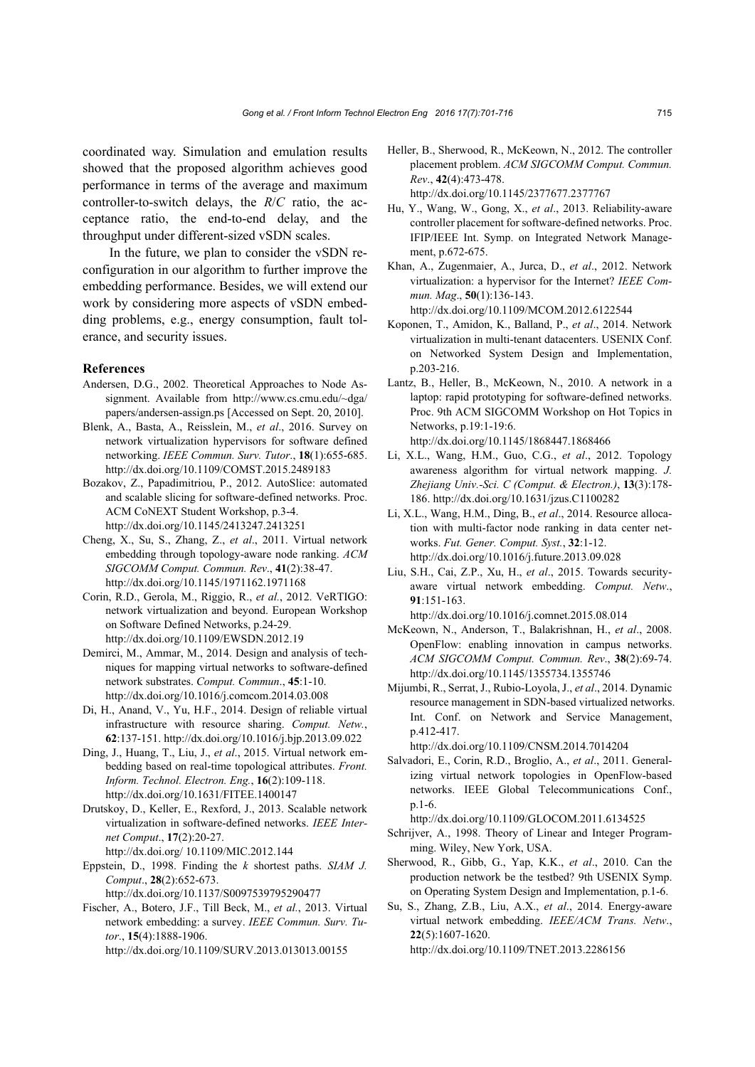coordinated way. Simulation and emulation results showed that the proposed algorithm achieves good performance in terms of the average and maximum controller-to-switch delays, the *R*/*C* ratio, the acceptance ratio, the end-to-end delay, and the throughput under different-sized vSDN scales.

In the future, we plan to consider the vSDN reconfiguration in our algorithm to further improve the embedding performance. Besides, we will extend our work by considering more aspects of vSDN embedding problems, e.g., energy consumption, fault tolerance, and security issues.

#### **References**

- Andersen, D.G., 2002. Theoretical Approaches to Node Assignment. Available from http://www.cs.cmu.edu/~dga/ papers/andersen-assign.ps [Accessed on Sept. 20, 2010].
- Blenk, A., Basta, A., Reisslein, M., *et al*., 2016. Survey on network virtualization hypervisors for software defined networking. *IEEE Commun. Surv. Tutor*., **18**(1):655-685. http://dx.doi.org/10.1109/COMST.2015.2489183
- Bozakov, Z., Papadimitriou, P., 2012. AutoSlice: automated and scalable slicing for software-defined networks. Proc. ACM CoNEXT Student Workshop, p.3-4. http://dx.doi.org/10.1145/2413247.2413251
- Cheng, X., Su, S., Zhang, Z., *et al*., 2011. Virtual network embedding through topology-aware node ranking. *ACM SIGCOMM Comput. Commun. Rev*., **41**(2):38-47. http://dx.doi.org/10.1145/1971162.1971168
- Corin, R.D., Gerola, M., Riggio, R., *et al.*, 2012. VeRTIGO: network virtualization and beyond. European Workshop on Software Defined Networks, p.24-29. http://dx.doi.org/10.1109/EWSDN.2012.19
- Demirci, M., Ammar, M., 2014. Design and analysis of techniques for mapping virtual networks to software-defined network substrates. *Comput. Commun*., **45**:1-10. http://dx.doi.org/10.1016/j.comcom.2014.03.008
- Di, H., Anand, V., Yu, H.F., 2014. Design of reliable virtual infrastructure with resource sharing. *Comput. Netw.*, **62**:137-151. http://dx.doi.org/10.1016/j.bjp.2013.09.022
- Ding, J., Huang, T., Liu, J., *et al*., 2015. Virtual network embedding based on real-time topological attributes. *Front. Inform. Technol. Electron. Eng.*, **16**(2):109-118. http://dx.doi.org/10.1631/FITEE.1400147
- Drutskoy, D., Keller, E., Rexford, J., 2013. Scalable network virtualization in software-defined networks. *IEEE Internet Comput*., **17**(2):20-27. http://dx.doi.org/ 10.1109/MIC.2012.144
- Eppstein, D., 1998. Finding the *k* shortest paths. *SIAM J. Comput*., **28**(2):652-673.

http://dx.doi.org/10.1137/S0097539795290477

Fischer, A., Botero, J.F., Till Beck, M., *et al.*, 2013. Virtual network embedding: a survey. *IEEE Commun. Surv. Tutor*., **15**(4):1888-1906. http://dx.doi.org/10.1109/SURV.2013.013013.00155

- Heller, B., Sherwood, R., McKeown, N., 2012. The controller placement problem. *ACM SIGCOMM Comput. Commun. Rev*., **42**(4):473-478. http://dx.doi.org/10.1145/2377677.2377767
- Hu, Y., Wang, W., Gong, X., *et al*., 2013. Reliability-aware controller placement for software-defined networks. Proc. IFIP/IEEE Int. Symp. on Integrated Network Management, p.672-675.
- Khan, A., Zugenmaier, A., Jurca, D., *et al*., 2012. Network virtualization: a hypervisor for the Internet? *IEEE Commun. Mag*., **50**(1):136-143. http://dx.doi.org/10.1109/MCOM.2012.6122544
- Koponen, T., Amidon, K., Balland, P., *et al*., 2014. Network virtualization in multi-tenant datacenters. USENIX Conf. on Networked System Design and Implementation, p.203-216.
- Lantz, B., Heller, B., McKeown, N., 2010. A network in a laptop: rapid prototyping for software-defined networks. Proc. 9th ACM SIGCOMM Workshop on Hot Topics in Networks, p.19:1-19:6. http://dx.doi.org/10.1145/1868447.1868466
- Li, X.L., Wang, H.M., Guo, C.G., *et al*., 2012. Topology awareness algorithm for virtual network mapping. *J. Zhejiang Univ.-Sci. C (Comput. & Electron.)*, **13**(3):178- 186. http://dx.doi.org/10.1631/jzus.C1100282
- Li, X.L., Wang, H.M., Ding, B., *et al*., 2014. Resource allocation with multi-factor node ranking in data center networks. *Fut. Gener. Comput. Syst.*, **32**:1-12. http://dx.doi.org/10.1016/j.future.2013.09.028
- Liu, S.H., Cai, Z.P., Xu, H., *et al*., 2015. Towards securityaware virtual network embedding. *Comput. Netw*., **91**:151-163.

http://dx.doi.org/10.1016/j.comnet.2015.08.014

- McKeown, N., Anderson, T., Balakrishnan, H., *et al*., 2008. OpenFlow: enabling innovation in campus networks. *ACM SIGCOMM Comput. Commun. Rev*., **38**(2):69-74. http://dx.doi.org/10.1145/1355734.1355746
- Mijumbi, R., Serrat, J., Rubio-Loyola, J., *et al*., 2014. Dynamic resource management in SDN-based virtualized networks. Int. Conf. on Network and Service Management, p.412-417.

http://dx.doi.org/10.1109/CNSM.2014.7014204

Salvadori, E., Corin, R.D., Broglio, A., *et al*., 2011. Generalizing virtual network topologies in OpenFlow-based networks. IEEE Global Telecommunications Conf., p.1-6.

http://dx.doi.org/10.1109/GLOCOM.2011.6134525

- Schrijver, A., 1998. Theory of Linear and Integer Programming. Wiley, New York, USA.
- Sherwood, R., Gibb, G., Yap, K.K., *et al*., 2010. Can the production network be the testbed? 9th USENIX Symp. on Operating System Design and Implementation, p.1-6.
- Su, S., Zhang, Z.B., Liu, A.X., *et al*., 2014. Energy-aware virtual network embedding. *IEEE/ACM Trans. Netw*., **22**(5):1607-1620.

http://dx.doi.org/10.1109/TNET.2013.2286156